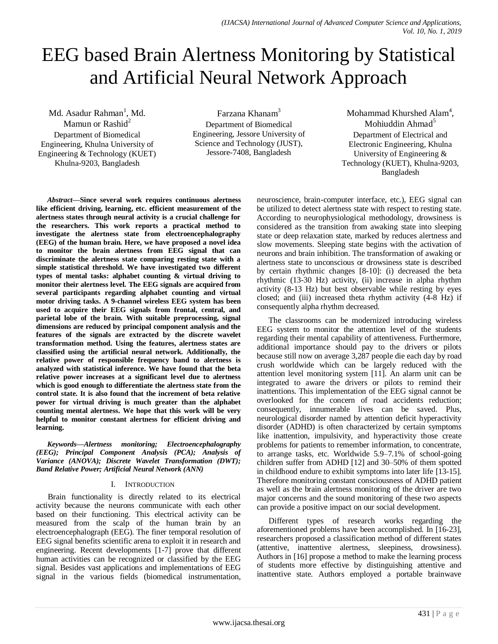# EEG based Brain Alertness Monitoring by Statistical and Artificial Neural Network Approach

Md. Asadur Rahman<sup>1</sup>, Md.

Mamun or Rashid<sup>2</sup> Department of Biomedical Engineering, Khulna University of Engineering & Technology (KUET) Khulna-9203, Bangladesh

Farzana Khanam<sup>3</sup> Department of Biomedical Engineering, Jessore University of Science and Technology (JUST), Jessore-7408, Bangladesh

Mohammad Khurshed Alam<sup>4</sup>, Mohiuddin Ahmad<sup>5</sup> Department of Electrical and Electronic Engineering, Khulna University of Engineering & Technology (KUET), Khulna-9203, Bangladesh

*Abstract***—Since several work requires continuous alertness like efficient driving, learning, etc. efficient measurement of the alertness states through neural activity is a crucial challenge for the researchers. This work reports a practical method to investigate the alertness state from electroencephalography (EEG) of the human brain. Here, we have proposed a novel idea to monitor the brain alertness from EEG signal that can discriminate the alertness state comparing resting state with a simple statistical threshold. We have investigated two different types of mental tasks: alphabet counting & virtual driving to monitor their alertness level. The EEG signals are acquired from several participants regarding alphabet counting and virtual motor driving tasks. A 9-channel wireless EEG system has been used to acquire their EEG signals from frontal, central, and parietal lobe of the brain. With suitable preprocessing, signal dimensions are reduced by principal component analysis and the features of the signals are extracted by the discrete wavelet transformation method. Using the features, alertness states are classified using the artificial neural network. Additionally, the relative power of responsible frequency band to alertness is analyzed with statistical inference. We have found that the beta relative power increases at a significant level due to alertness which is good enough to differentiate the alertness state from the control state. It is also found that the increment of beta relative power for virtual driving is much greater than the alphabet counting mental alertness. We hope that this work will be very helpful to monitor constant alertness for efficient driving and learning.**

*Keywords—Alertness monitoring; Electroencephalography (EEG); Principal Component Analysis (PCA); Analysis of Variance (ANOVA); Discrete Wavelet Transformation (DWT); Band Relative Power; Artificial Neural Network (ANN)*

# I. INTRODUCTION

Brain functionality is directly related to its electrical activity because the neurons communicate with each other based on their functioning. This electrical activity can be measured from the scalp of the human brain by an electroencephalograph (EEG). The finer temporal resolution of EEG signal benefits scientific arena to exploit it in research and engineering. Recent developments [1-7] prove that different human activities can be recognized or classified by the EEG signal. Besides vast applications and implementations of EEG signal in the various fields (biomedical instrumentation, neuroscience, brain-computer interface, etc.), EEG signal can be utilized to detect alertness state with respect to resting state. According to neurophysiological methodology, drowsiness is considered as the transition from awaking state into sleeping state or deep relaxation state, marked by reduces alertness and slow movements. Sleeping state begins with the activation of neurons and brain inhibition. The transformation of awaking or alertness state to unconscious or drowsiness state is described by certain rhythmic changes [8-10]: (i) decreased the beta rhythmic (13-30 Hz) activity, (ii) increase in alpha rhythm activity (8-13 Hz) but best observable while resting by eyes closed; and (iii) increased theta rhythm activity (4-8 Hz) if consequently alpha rhythm decreased.

The classrooms can be modernized introducing wireless EEG system to monitor the attention level of the students regarding their mental capability of attentiveness. Furthermore, additional importance should pay to the drivers or pilots because still now on average 3,287 people die each day by road crush worldwide which can be largely reduced with the attention level monitoring system [11]. An alarm unit can be integrated to aware the drivers or pilots to remind their inattentions. This implementation of the EEG signal cannot be overlooked for the concern of road accidents reduction; consequently, innumerable lives can be saved. Plus, neurological disorder named by attention deficit hyperactivity disorder (ADHD) is often characterized by certain symptoms like inattention, impulsivity, and hyperactivity those create problems for patients to remember information, to concentrate, to arrange tasks, etc. Worldwide 5.9–7.1% of school-going children suffer from ADHD [12] and 30–50% of them spotted in childhood endure to exhibit symptoms into later life [13-15]. Therefore monitoring constant consciousness of ADHD patient as well as the brain alertness monitoring of the driver are two major concerns and the sound monitoring of these two aspects can provide a positive impact on our social development.

Different types of research works regarding the aforementioned problems have been accomplished. In [16-23], researchers proposed a classification method of different states (attentive, inattentive alertness, sleepiness, drowsiness). Authors in [16] propose a method to make the learning process of students more effective by distinguishing attentive and inattentive state. Authors employed a portable brainwave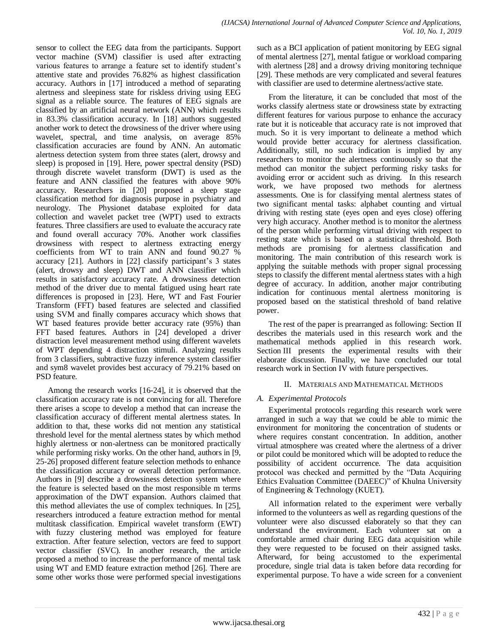sensor to collect the EEG data from the participants. Support vector machine (SVM) classifier is used after extracting various features to arrange a feature set to identify student"s attentive state and provides 76.82% as highest classification accuracy. Authors in [17] introduced a method of separating alertness and sleepiness state for riskless driving using EEG signal as a reliable source. The features of EEG signals are classified by an artificial neural network (ANN) which results in 83.3% classification accuracy. In [18] authors suggested another work to detect the drowsiness of the driver where using wavelet, spectral, and time analysis, on average 85% classification accuracies are found by ANN. An automatic alertness detection system from three states (alert, drowsy and sleep) is proposed in [19]. Here, power spectral density (PSD) through discrete wavelet transform (DWT) is used as the feature and ANN classified the features with above 90% accuracy. Researchers in [20] proposed a sleep stage classification method for diagnosis purpose in psychiatry and neurology. The Physionet database exploited for data collection and wavelet packet tree (WPT) used to extracts features. Three classifiers are used to evaluate the accuracy rate and found overall accuracy 70%. Another work classifies drowsiness with respect to alertness extracting energy coefficients from WT to train ANN and found 90.27 % accuracy [21]. Authors in [22] classify participant's 3 states (alert, drowsy and sleep) DWT and ANN classifier which results in satisfactory accuracy rate. A drowsiness detection method of the driver due to mental fatigued using heart rate differences is proposed in [23]. Here, WT and Fast Fourier Transform (FFT) based features are selected and classified using SVM and finally compares accuracy which shows that WT based features provide better accuracy rate (95%) than FFT based features. Authors in [24] developed a driver distraction level measurement method using different wavelets of WPT depending 4 distraction stimuli. Analyzing results from 3 classifiers, subtractive fuzzy inference system classifier and sym8 wavelet provides best accuracy of 79.21% based on PSD feature.

Among the research works [16-24], it is observed that the classification accuracy rate is not convincing for all. Therefore there arises a scope to develop a method that can increase the classification accuracy of different mental alertness states. In addition to that, these works did not mention any statistical threshold level for the mental alertness states by which method highly alertness or non-alertness can be monitored practically while performing risky works. On the other hand, authors in [9, 25-26] proposed different feature selection methods to enhance the classification accuracy or overall detection performance. Authors in [9] describe a drowsiness detection system where the feature is selected based on the most responsible m terms approximation of the DWT expansion. Authors claimed that this method alleviates the use of complex techniques. In [25], researchers introduced a feature extraction method for mental multitask classification. Empirical wavelet transform (EWT) with fuzzy clustering method was employed for feature extraction. After feature selection, vectors are feed to support vector classifier (SVC). In another research, the article proposed a method to increase the performance of mental task using WT and EMD feature extraction method [26]. There are some other works those were performed special investigations

such as a BCI application of patient monitoring by EEG signal of mental alertness [27], mental fatigue or workload comparing with alertness [28] and a drowsy driving monitoring technique [29]. These methods are very complicated and several features with classifier are used to determine alertness/active state.

From the literature, it can be concluded that most of the works classify alertness state or drowsiness state by extracting different features for various purpose to enhance the accuracy rate but it is noticeable that accuracy rate is not improved that much. So it is very important to delineate a method which would provide better accuracy for alertness classification. Additionally, still, no such indication is implied by any researchers to monitor the alertness continuously so that the method can monitor the subject performing risky tasks for avoiding error or accident such as driving. In this research work, we have proposed two methods for alertness assessments. One is for classifying mental alertness states of two significant mental tasks: alphabet counting and virtual driving with resting state (eyes open and eyes close) offering very high accuracy. Another method is to monitor the alertness of the person while performing virtual driving with respect to resting state which is based on a statistical threshold. Both methods are promising for alertness classification and monitoring. The main contribution of this research work is applying the suitable methods with proper signal processing steps to classify the different mental alertness states with a high degree of accuracy. In addition, another major contributing indication for continuous mental alertness monitoring is proposed based on the statistical threshold of band relative power.

The rest of the paper is prearranged as following: Section II describes the materials used in this research work and the mathematical methods applied in this research work. Section III presents the experimental results with their elaborate discussion. Finally, we have concluded our total research work in Section IV with future perspectives.

# II. MATERIALS AND MATHEMATICAL METHODS

# *A. Experimental Protocols*

Experimental protocols regarding this research work were arranged in such a way that we could be able to mimic the environment for monitoring the concentration of students or where requires constant concentration. In addition, another virtual atmosphere was created where the alertness of a driver or pilot could be monitored which will be adopted to reduce the possibility of accident occurrence. The data acquisition protocol was checked and permitted by the "Data Acquiring Ethics Evaluation Committee (DAEEC)" of Khulna University of Engineering & Technology (KUET).

All information related to the experiment were verbally informed to the volunteers as well as regarding questions of the volunteer were also discussed elaborately so that they can understand the environment. Each volunteer sat on a comfortable armed chair during EEG data acquisition while they were requested to be focused on their assigned tasks. Afterward, for being accustomed to the experimental procedure, single trial data is taken before data recording for experimental purpose. To have a wide screen for a convenient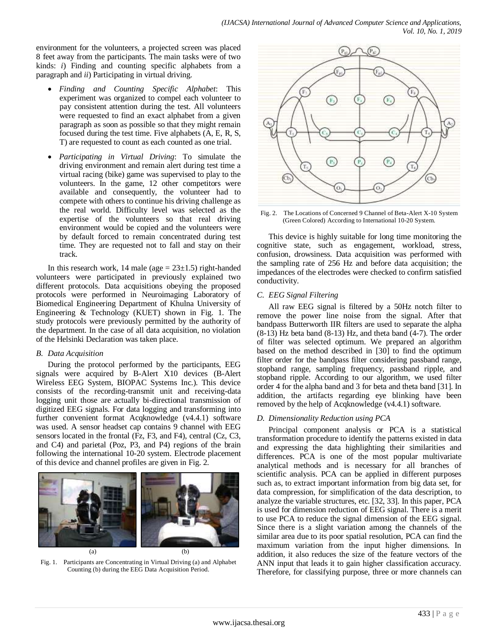environment for the volunteers, a projected screen was placed 8 feet away from the participants. The main tasks were of two kinds: *i*) Finding and counting specific alphabets from a paragraph and *ii*) Participating in virtual driving.

- *Finding and Counting Specific Alphabet*: This experiment was organized to compel each volunteer to pay consistent attention during the test. All volunteers were requested to find an exact alphabet from a given paragraph as soon as possible so that they might remain focused during the test time. Five alphabets (A, E, R, S, T) are requested to count as each counted as one trial.
- *Participating in Virtual Driving*: To simulate the driving environment and remain alert during test time a virtual racing (bike) game was supervised to play to the volunteers. In the game, 12 other competitors were available and consequently, the volunteer had to compete with others to continue his driving challenge as the real world. Difficulty level was selected as the expertise of the volunteers so that real driving environment would be copied and the volunteers were by default forced to remain concentrated during test time. They are requested not to fall and stay on their track.

In this research work, 14 male (age  $= 23 \pm 1.5$ ) right-handed volunteers were participated in previously explained two different protocols. Data acquisitions obeying the proposed protocols were performed in Neuroimaging Laboratory of Biomedical Engineering Department of Khulna University of Engineering & Technology (KUET) shown in Fig. 1. The study protocols were previously permitted by the authority of the department. In the case of all data acquisition, no violation of the Helsinki Declaration was taken place.

### *B. Data Acquisition*

During the protocol performed by the participants, EEG signals were acquired by B-Alert X10 devices (B-Alert Wireless EEG System, BIOPAC Systems Inc.). This device consists of the recording-transmit unit and receiving-data logging unit those are actually bi-directional transmission of digitized EEG signals. For data logging and transforming into further convenient format Acqknowledge (v4.4.1) software was used. A sensor headset cap contains 9 channel with EEG sensors located in the frontal (Fz, F3, and F4), central (Cz, C3, and C4) and parietal (Poz, P3, and P4) regions of the brain following the international 10-20 system. Electrode placement of this device and channel profiles are given in Fig. 2.



Fig. 1. Participants are Concentrating in Virtual Driving (a) and Alphabet Counting (b) during the EEG Data Acquisition Period.



Fig. 2. The Locations of Concerned 9 Channel of Beta-Alert X-10 System (Green Colored) According to International 10-20 System.

This device is highly suitable for long time monitoring the cognitive state, such as engagement, workload, stress, confusion, drowsiness. Data acquisition was performed with the sampling rate of 256 Hz and before data acquisition; the impedances of the electrodes were checked to confirm satisfied conductivity.

# *C. EEG Signal Filtering*

All raw EEG signal is filtered by a 50Hz notch filter to remove the power line noise from the signal. After that bandpass Butterworth IIR filters are used to separate the alpha (8-13) Hz beta band (8-13) Hz, and theta band (4-7). The order of filter was selected optimum. We prepared an algorithm based on the method described in [30] to find the optimum filter order for the bandpass filter considering passband range, stopband range, sampling frequency, passband ripple, and stopband ripple. According to our algorithm, we used filter order 4 for the alpha band and 3 for beta and theta band [31]. In addition, the artifacts regarding eye blinking have been removed by the help of Acqknowledge (v4.4.1) software.

# *D. Dimensionality Reduction using PCA*

Principal component analysis or PCA is a statistical transformation procedure to identify the patterns existed in data and expressing the data highlighting their similarities and differences. PCA is one of the most popular multivariate analytical methods and is necessary for all branches of scientific analysis. PCA can be applied in different purposes such as, to extract important information from big data set, for data compression, for simplification of the data description, to analyze the variable structures, etc. [32, 33]. In this paper, PCA is used for dimension reduction of EEG signal. There is a merit to use PCA to reduce the signal dimension of the EEG signal. Since there is a slight variation among the channels of the similar area due to its poor spatial resolution, PCA can find the maximum variation from the input higher dimensions. In addition, it also reduces the size of the feature vectors of the ANN input that leads it to gain higher classification accuracy. Therefore, for classifying purpose, three or more channels can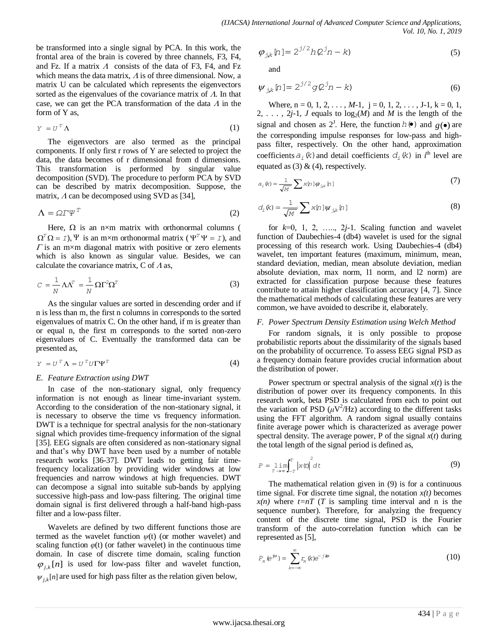be transformed into a single signal by PCA. In this work, the frontal area of the brain is covered by three channels, F3, F4, and Fz. If a matrix  $\Lambda$  consists of the data of F3, F4, and Fz which means the data matrix,  $\Lambda$  is of three dimensional. Now, a matrix U can be calculated which represents the eigenvectors sorted as the eigenvalues of the covariance matrix of  $\Lambda$ . In that case, we can get the PCA transformation of the data  $\Lambda$  in the form of Y as,

$$
Y = U^T \Lambda \tag{1}
$$

The eigenvectors are also termed as the principal components. If only first r rows of Y are selected to project the data, the data becomes of r dimensional from d dimensions. This transformation is performed by singular value decomposition (SVD). The procedure to perform PCA by SVD can be described by matrix decomposition. Suppose, the matrix,  $\Lambda$  can be decomposed using SVD as [34],

$$
\Lambda = \Omega T \Psi^T \tag{2}
$$

Here,  $\Omega$  is an n×m matrix with orthonormal columns (  $\Omega^T \Omega = I$ ),  $\Psi$  is an m×m orthonormal matrix ( $\Psi^T \Psi = I$ ), and  $\Gamma$  is an m×m diagonal matrix with positive or zero elements which is also known as singular value. Besides, we can calculate the covariance matrix,  $C$  of  $\Lambda$  as,

$$
C = \frac{1}{N} \Lambda \Lambda^T = \frac{1}{N} \Omega \Gamma^2 \Omega^T
$$
 (3)

As the singular values are sorted in descending order and if n is less than m, the first n columns in corresponds to the sorted eigenvalues of matrix C. On the other hand, if m is greater than or equal n, the first m corresponds to the sorted non-zero eigenvalues of C. Eventually the transformed data can be presented as,

$$
Y = U^T \Lambda = U^T U \Gamma \Psi^T \tag{4}
$$

### *E. Feature Extraction using DWT*

In case of the non-stationary signal, only frequency information is not enough as linear time-invariant system. According to the consideration of the non-stationary signal, it is necessary to observe the time vs frequency information. DWT is a technique for spectral analysis for the non-stationary signal which provides time-frequency information of the signal [35]. EEG signals are often considered as non-stationary signal and that"s why DWT have been used by a number of notable research works [36-37]. DWT leads to getting fair timefrequency localization by providing wider windows at low frequencies and narrow windows at high frequencies. DWT can decompose a signal into suitable sub-bands by applying successive high-pass and low-pass filtering. The original time domain signal is first delivered through a half-band high-pass filter and a low-pass filter.

Wavelets are defined by two different functions those are termed as the wavelet function *ψ*(t) (or mother wavelet) and scaling function  $\varphi(t)$  (or father wavelet) in the continuous time domain. In case of discrete time domain, scaling function  $\varphi_{j,k}[n]$  is used for low-pass filter and wavelet function,  $\psi_{j,k}[n]$  are used for high pass filter as the relation given below,

$$
\varphi_{j,k}[\eta] = 2^{j/2}hQ^{j}\eta - k)
$$
\n(5)

and

$$
\psi_{j,k}[n] = 2^{j/2} g Q^j n - k \tag{6}
$$

Where,  $n = 0, 1, 2, \ldots, M-1$ ,  $j = 0, 1, 2, \ldots, J-1$ ,  $k = 0, 1$ , 2, ..., 2*j*-1, *J* equals to  $log_2(M)$  and *M* is the length of the signal and chosen as  $2^J$ . Here, the function  $h(\bullet)$  and  $g(\bullet)$  are the corresponding impulse responses for low-pass and highpass filter, respectively. On the other hand, approximation coefficients  $a_i(k)$  and detail coefficients  $d_i(k)$  in  $i^{\text{th}}$  level are equated as  $(3)$  &  $(4)$ , respectively.

$$
a_{i}(\mathbf{k}) = \frac{1}{\sqrt{M}} \sum \mathbf{x}[\mathbf{n}] \varphi_{j,k}[\mathbf{n}] \tag{7}
$$

$$
d_{i}(k) = \frac{1}{\sqrt{M}} \sum x[n] \psi_{j,k}[n]
$$
\n(8)

for *k*=0, 1, 2, ….., 2*j*-1. Scaling function and wavelet function of Daubechies-4 (db4) wavelet is used for the signal processing of this research work. Using Daubechies-4 (db4) wavelet, ten important features (maximum, minimum, mean, standard deviation, median, mean absolute deviation, median absolute deviation, max norm, l1 norm, and l2 norm) are extracted for classification purpose because these features contribute to attain higher classification accuracy [4, 7]. Since the mathematical methods of calculating these features are very common, we have avoided to describe it, elaborately.

#### *F. Power Spectrum Density Estimation using Welch Method*

For random signals, it is only possible to propose probabilistic reports about the dissimilarity of the signals based on the probability of occurrence. To assess EEG signal PSD as a frequency domain feature provides crucial information about the distribution of power.

Power spectrum or spectral analysis of the signal  $x(t)$  is the distribution of power over its frequency components. In this research work, beta PSD is calculated from each to point out the variation of PSD  $(\mu V^2/Hz)$  according to the different tasks using the FFT algorithm. A random signal usually contains finite average power which is characterized as average power spectral density. The average power, P of the signal  $x(t)$  during the total length of the signal period is defined as,

$$
P = \lim_{T \to \infty} \int_{-T}^{T} |x(t)|^2 dt
$$
 (9)

The mathematical relation given in (9) is for a continuous time signal. For discrete time signal, the notation  $x(t)$  becomes  $x(n)$  where  $t=nT$  (*T* is sampling time interval and n is the sequence number). Therefore, for analyzing the frequency content of the discrete time signal, PSD is the Fourier transform of the auto-correlation function which can be represented as [5],

$$
P_x \left( e^{j\omega} \right) = \sum_{k=-\infty}^{\infty} r_x \left( k \right) e^{-j \omega} \tag{10}
$$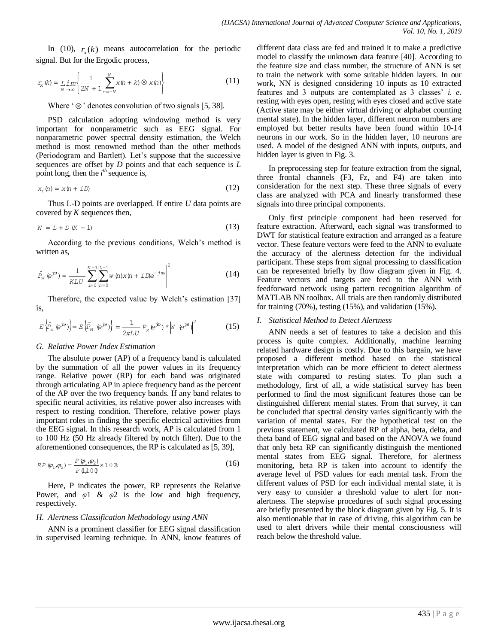In (10),  $r_x(k)$  means autocorrelation for the periodic signal. But for the Ergodic process,

$$
r_{\mathbf{x}}\left(k\right) = \lim_{N \to \infty} \left\{ \frac{1}{2N+1} \sum_{n=-N}^{N} x\left(n+k\right) \otimes x\left(n\right) \right\} \tag{11}
$$

Where  $\degree \otimes \degree$  denotes convolution of two signals [5, 38].

PSD calculation adopting windowing method is very important for nonparametric such as EEG signal. For nonparametric power spectral density estimation, the Welch method is most renowned method than the other methods (Periodogram and Bartlett). Let"s suppose that the successive sequences are offset by *D* points and that each sequence is *L* point long, then the  $i^{th}$  sequence is,

$$
x_i(n) = x(n + iD) \tag{12}
$$

Thus L-D points are overlapped. If entire *U* data points are covered by *K* sequences then,

$$
N = L + D (K - 1) \tag{13}
$$

According to the previous conditions, Welch"s method is written as,

$$
\hat{P}_{w} \, \left( e^{j\omega} \right) = \frac{1}{KLU} \sum_{i=0}^{K-1} \left| \sum_{n=0}^{L-1} w(n) x(n+i) e^{-j\omega} \right|^2 \tag{14}
$$

Therefore, the expected value by Welch's estimation [37] is,

$$
E\left\{\hat{p}_{w} \in \mathcal{P}\right\} = E\left\{\hat{p}_{M} \in \mathcal{P}\right\} = \frac{1}{2\pi L U} P_{x} \left(\hat{p}^{w}\right) \star \left|W \in \mathcal{P}\right|^{2}
$$
(15)

### *G. Relative Power Index Estimation*

The absolute power (AP) of a frequency band is calculated by the summation of all the power values in its frequency range. Relative power (RP) for each band was originated through articulating AP in apiece frequency band as the percent of the AP over the two frequency bands. If any band relates to specific neural activities, its relative power also increases with respect to resting condition. Therefore, relative power plays important roles in finding the specific electrical activities from the EEG signal. In this research work, AP is calculated from 1 to 100 Hz (50 Hz already filtered by notch filter). Due to the aforementioned consequences, the RP is calculated as [5, 39],

$$
RP(\varphi_1, \varphi_2) = \frac{P(\varphi_1, \varphi_2)}{P(\downarrow 1 \ 0 \ 0)} \times 10 \ \mathcal{B}
$$
\n
$$
(16)
$$

Here, P indicates the power, RP represents the Relative Power, and  $\varphi$ 1 &  $\varphi$ 2 is the low and high frequency, respectively.

### *H. Alertness Classification Methodology using ANN*

ANN is a prominent classifier for EEG signal classification in supervised learning technique. In ANN, know features of different data class are fed and trained it to make a predictive model to classify the unknown data feature [40]. According to the feature size and class number, the structure of ANN is set to train the network with some suitable hidden layers. In our work, NN is designed considering 10 inputs as 10 extracted features and 3 outputs are contemplated as 3 classes" *i. e.* resting with eyes open, resting with eyes closed and active state (Active state may be either virtual driving or alphabet counting mental state). In the hidden layer, different neuron numbers are employed but better results have been found within 10-14 neurons in our work. So in the hidden layer, 10 neurons are used. A model of the designed ANN with inputs, outputs, and hidden layer is given in Fig. 3.

In preprocessing step for feature extraction from the signal, three frontal channels (F3, Fz, and F4) are taken into consideration for the next step. These three signals of every class are analyzed with PCA and linearly transformed these signals into three principal components.

Only first principle component had been reserved for feature extraction. Afterward, each signal was transformed to DWT for statistical feature extraction and arranged as a feature vector. These feature vectors were feed to the ANN to evaluate the accuracy of the alertness detection for the individual participant. These steps from signal processing to classification can be represented briefly by flow diagram given in Fig. 4. Feature vectors and targets are feed to the ANN with feedforward network using pattern recognition algorithm of MATLAB NN toolbox. All trials are then randomly distributed for training (70%), testing (15%), and validation (15%).

#### *I. Statistical Method to Detect Alertness*

ANN needs a set of features to take a decision and this process is quite complex. Additionally, machine learning related hardware design is costly. Due to this bargain, we have proposed a different method based on the statistical interpretation which can be more efficient to detect alertness state with compared to resting states. To plan such a methodology, first of all, a wide statistical survey has been performed to find the most significant features those can be distinguished different mental states. From that survey, it can be concluded that spectral density varies significantly with the variation of mental states. For the hypothetical test on the previous statement, we calculated RP of alpha, beta, delta, and theta band of EEG signal and based on the ANOVA we found that only beta RP can significantly distinguish the mentioned mental states from EEG signal. Therefore, for alertness monitoring, beta RP is taken into account to identify the average level of PSD values for each mental task. From the different values of PSD for each individual mental state, it is very easy to consider a threshold value to alert for nonalertness. The stepwise procedures of such signal processing are briefly presented by the block diagram given by Fig. 5. It is also mentionable that in case of driving, this algorithm can be used to alert drivers while their mental consciousness will reach below the threshold value.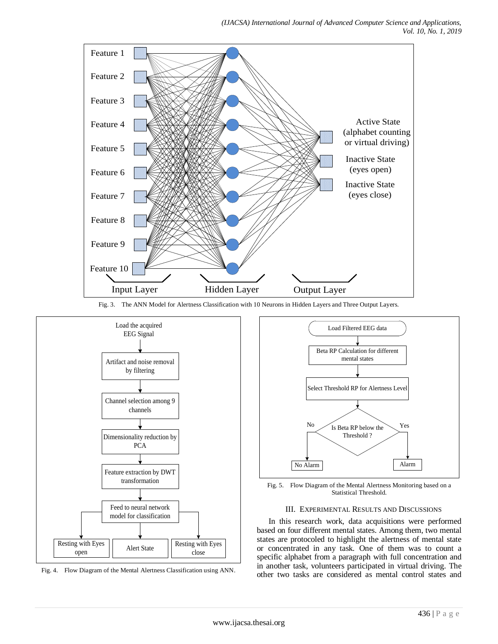

Fig. 3. The ANN Model for Alertness Classification with 10 Neurons in Hidden Layers and Three Output Layers.



Fig. 4. Flow Diagram of the Mental Alertness Classification using ANN.



Fig. 5. Flow Diagram of the Mental Alertness Monitoring based on a Statistical Threshold.

#### III. EXPERIMENTAL RESULTS AND DISCUSSIONS

In this research work, data acquisitions were performed based on four different mental states. Among them, two mental states are protocoled to highlight the alertness of mental state or concentrated in any task. One of them was to count a specific alphabet from a paragraph with full concentration and in another task, volunteers participated in virtual driving. The other two tasks are considered as mental control states and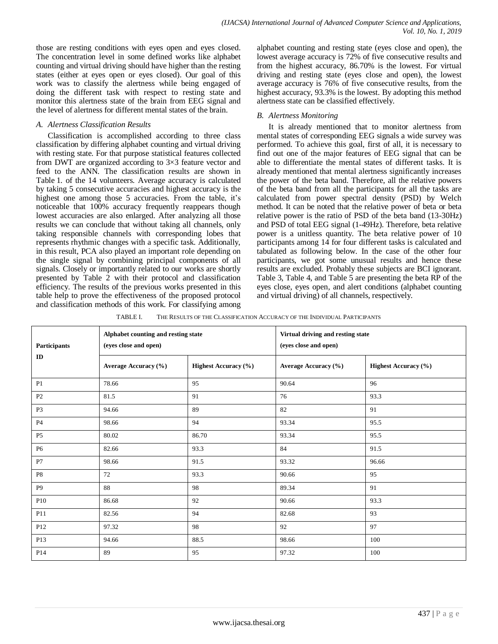those are resting conditions with eyes open and eyes closed. The concentration level in some defined works like alphabet counting and virtual driving should have higher than the resting states (either at eyes open or eyes closed). Our goal of this work was to classify the alertness while being engaged of doing the different task with respect to resting state and monitor this alertness state of the brain from EEG signal and the level of alertness for different mental states of the brain.

## *A. Alertness Classification Results*

Classification is accomplished according to three class classification by differing alphabet counting and virtual driving with resting state. For that purpose statistical features collected from DWT are organized according to 3×3 feature vector and feed to the ANN. The classification results are shown in Table 1. of the 14 volunteers. Average accuracy is calculated by taking 5 consecutive accuracies and highest accuracy is the highest one among those 5 accuracies. From the table, it's noticeable that 100% accuracy frequently reappears though lowest accuracies are also enlarged. After analyzing all those results we can conclude that without taking all channels, only taking responsible channels with corresponding lobes that represents rhythmic changes with a specific task. Additionally, in this result, PCA also played an important role depending on the single signal by combining principal components of all signals. Closely or importantly related to our works are shortly presented by Table 2 with their protocol and classification efficiency. The results of the previous works presented in this table help to prove the effectiveness of the proposed protocol and classification methods of this work. For classifying among alphabet counting and resting state (eyes close and open), the lowest average accuracy is 72% of five consecutive results and from the highest accuracy, 86.70% is the lowest. For virtual driving and resting state (eyes close and open), the lowest average accuracy is 76% of five consecutive results, from the highest accuracy, 93.3% is the lowest. By adopting this method alertness state can be classified effectively.

# *B. Alertness Monitoring*

It is already mentioned that to monitor alertness from mental states of corresponding EEG signals a wide survey was performed. To achieve this goal, first of all, it is necessary to find out one of the major features of EEG signal that can be able to differentiate the mental states of different tasks. It is already mentioned that mental alertness significantly increases the power of the beta band. Therefore, all the relative powers of the beta band from all the participants for all the tasks are calculated from power spectral density (PSD) by Welch method. It can be noted that the relative power of beta or beta relative power is the ratio of PSD of the beta band (13-30Hz) and PSD of total EEG signal (1-49Hz). Therefore, beta relative power is a unitless quantity. The beta relative power of 10 participants among 14 for four different tasks is calculated and tabulated as following below. In the case of the other four participants, we got some unusual results and hence these results are excluded. Probably these subjects are BCI ignorant. Table 3, Table 4, and Table 5 are presenting the beta RP of the eyes close, eyes open, and alert conditions (alphabet counting and virtual driving) of all channels, respectively.

TABLE I. THE RESULTS OF THE CLASSIFICATION ACCURACY OF THE INDIVIDUAL PARTICIPANTS

| Participants<br>ID | Alphabet counting and resting state<br>(eyes close and open) |                             | Virtual driving and resting state<br>(eyes close and open) |                             |  |
|--------------------|--------------------------------------------------------------|-----------------------------|------------------------------------------------------------|-----------------------------|--|
|                    | Average Accuracy (%)                                         | <b>Highest Accuracy</b> (%) | Average Accuracy (%)                                       | <b>Highest Accuracy</b> (%) |  |
| P <sub>1</sub>     | 78.66                                                        | 95                          | 90.64                                                      | 96                          |  |
| P2                 | 81.5                                                         | 91                          | 76                                                         | 93.3                        |  |
| P <sub>3</sub>     | 94.66                                                        | 89                          | 82                                                         | 91                          |  |
| P4                 | 98.66                                                        | 94                          | 93.34                                                      | 95.5                        |  |
| P <sub>5</sub>     | 80.02                                                        | 86.70                       | 93.34                                                      | 95.5                        |  |
| <b>P6</b>          | 82.66                                                        | 93.3                        | 84                                                         | 91.5                        |  |
| P7                 | 98.66                                                        | 91.5                        | 93.32                                                      | 96.66                       |  |
| P8                 | 72                                                           | 93.3                        | 90.66                                                      | 95                          |  |
| P <sub>9</sub>     | 88                                                           | 98                          | 89.34                                                      | 91                          |  |
| P10                | 86.68                                                        | 92                          | 90.66                                                      | 93.3                        |  |
| P11                | 82.56                                                        | 94                          | 82.68                                                      | 93                          |  |
| P12                | 97.32                                                        | 98                          | 92                                                         | 97                          |  |
| P13                | 94.66                                                        | 88.5                        | 98.66                                                      | 100                         |  |
| P <sub>14</sub>    | 89                                                           | 95                          | 97.32                                                      | 100                         |  |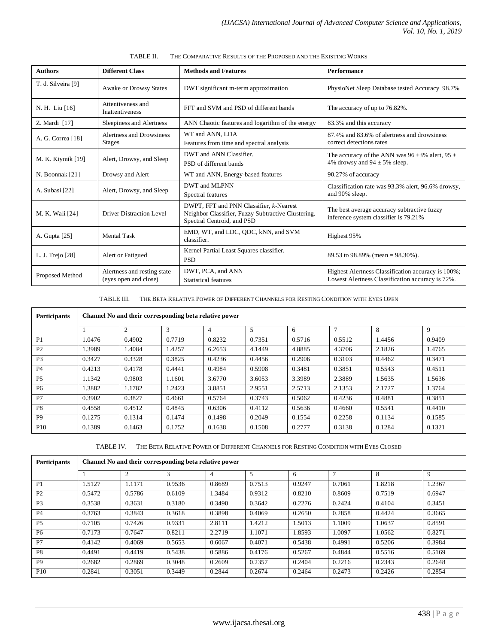| <b>Authors</b>     | <b>Different Class</b>                               | <b>Methods and Features</b>                                                                                                 | <b>Performance</b>                                                                                     |
|--------------------|------------------------------------------------------|-----------------------------------------------------------------------------------------------------------------------------|--------------------------------------------------------------------------------------------------------|
| T. d. Silveira [9] | Awake or Drowsy States                               | DWT significant m-term approximation                                                                                        | PhysioNet Sleep Database tested Accuracy 98.7%                                                         |
| N. H. Liu [16]     | Attentiveness and<br><b>Inattentiveness</b>          | FFT and SVM and PSD of different bands                                                                                      | The accuracy of up to 76.82%.                                                                          |
| Z. Mardi [17]      | Sleepiness and Alertness                             | ANN Chaotic features and logarithm of the energy                                                                            | 83.3% and this accuracy                                                                                |
| A. G. Correa [18]  | Alertness and Drowsiness<br><b>Stages</b>            | WT and ANN, LDA<br>Features from time and spectral analysis                                                                 | 87.4% and 83.6% of alertness and drowsiness<br>correct detections rates                                |
| M. K. Kiymik [19]  | Alert, Drowsy, and Sleep                             | DWT and ANN Classifier.<br>PSD of different bands                                                                           | The accuracy of the ANN was 96 $\pm$ 3% alert, 95 $\pm$<br>4% drowsy and $94 \pm 5$ % sleep.           |
| N. Boonnak [21]    | Drowsy and Alert                                     | WT and ANN, Energy-based features                                                                                           | 90.27% of accuracy                                                                                     |
| A. Subasi [22]     | Alert, Drowsy, and Sleep                             | DWT and MLPNN<br>Spectral features                                                                                          | Classification rate was 93.3% alert, 96.6% drowsy,<br>and 90% sleep.                                   |
| M. K. Wali [24]    | Driver Distraction Level                             | DWPT, FFT and PNN Classifier, k-Nearest<br>Neighbor Classifier, Fuzzy Subtractive Clustering.<br>Spectral Centroid, and PSD | The best average accuracy subtractive fuzzy<br>inference system classifier is 79.21%                   |
| A. Gupta [25]      | <b>Mental Task</b>                                   | EMD, WT, and LDC, QDC, kNN, and SVM<br>classifier.                                                                          | Highest 95%                                                                                            |
| L. J. Trejo [28]   | Alert or Fatigued                                    | Kernel Partial Least Squares classifier.<br><b>PSD</b>                                                                      | 89.53 to 98.89% (mean = $98.30\%$ ).                                                                   |
| Proposed Method    | Alertness and resting state<br>(eyes open and close) | DWT, PCA, and ANN<br><b>Statistical features</b>                                                                            | Highest Alertness Classification accuracy is 100%;<br>Lowest Alertness Classification accuracy is 72%. |

TABLE II. THE COMPARATIVE RESULTS OF THE PROPOSED AND THE EXISTING WORKS

TABLE III. THE BETA RELATIVE POWER OF DIFFERENT CHANNELS FOR RESTING CONDITION WITH EYES OPEN

| <b>Participants</b> | Channel No and their corresponding beta relative power |                |        |                |        |        |                |        |        |  |
|---------------------|--------------------------------------------------------|----------------|--------|----------------|--------|--------|----------------|--------|--------|--|
|                     |                                                        | $\overline{c}$ | 3      | $\overline{4}$ | 5      | 6      | $\overline{7}$ | 8      | 9      |  |
| P <sub>1</sub>      | 1.0476                                                 | 0.4902         | 0.7719 | 0.8232         | 0.7351 | 0.5716 | 0.5512         | 1.4456 | 0.9409 |  |
| P2                  | 1.3989                                                 | 1.4084         | 1.4257 | 6.2653         | 4.1449 | 4.8885 | 4.3706         | 2.1826 | 1.4765 |  |
| P <sub>3</sub>      | 0.3427                                                 | 0.3328         | 0.3825 | 0.4236         | 0.4456 | 0.2906 | 0.3103         | 0.4462 | 0.3471 |  |
| <b>P4</b>           | 0.4213                                                 | 0.4178         | 0.4441 | 0.4984         | 0.5908 | 0.3481 | 0.3851         | 0.5543 | 0.4511 |  |
| <b>P5</b>           | 1.1342                                                 | 0.9803         | 1.1601 | 3.6770         | 3.6053 | 3.3989 | 2.3889         | 1.5635 | 1.5636 |  |
| <b>P6</b>           | 1.3882                                                 | 1.1782         | 1.2423 | 3.8851         | 2.9551 | 2.5713 | 2.1353         | 2.1727 | 1.3764 |  |
| P7                  | 0.3902                                                 | 0.3827         | 0.4661 | 0.5764         | 0.3743 | 0.5062 | 0.4236         | 0.4881 | 0.3851 |  |
| P <sub>8</sub>      | 0.4558                                                 | 0.4512         | 0.4845 | 0.6306         | 0.4112 | 0.5636 | 0.4660         | 0.5541 | 0.4410 |  |
| <b>P9</b>           | 0.1275                                                 | 0.1314         | 0.1474 | 0.1498         | 0.2049 | 0.1554 | 0.2258         | 0.1134 | 0.1585 |  |
| <b>P10</b>          | 0.1389                                                 | 0.1463         | 0.1752 | 0.1638         | 0.1508 | 0.2777 | 0.3138         | 0.1284 | 0.1321 |  |

TABLE IV. THE BETA RELATIVE POWER OF DIFFERENT CHANNELS FOR RESTING CONDITION WITH EYES CLOSED

| <b>Participants</b> | Channel No and their corresponding beta relative power |        |        |        |        |        |        |        |        |
|---------------------|--------------------------------------------------------|--------|--------|--------|--------|--------|--------|--------|--------|
|                     |                                                        | 2      | 3      | 4      | 5      | 6      |        | 8      | 9      |
| P <sub>1</sub>      | 1.5127                                                 | 1.1171 | 0.9536 | 0.8689 | 0.7513 | 0.9247 | 0.7061 | 1.8218 | 1.2367 |
| P <sub>2</sub>      | 0.5472                                                 | 0.5786 | 0.6109 | 1.3484 | 0.9312 | 0.8210 | 0.8609 | 0.7519 | 0.6947 |
| P <sub>3</sub>      | 0.3538                                                 | 0.3631 | 0.3180 | 0.3490 | 0.3642 | 0.2276 | 0.2424 | 0.4104 | 0.3451 |
| <b>P4</b>           | 0.3763                                                 | 0.3843 | 0.3618 | 0.3898 | 0.4069 | 0.2650 | 0.2858 | 0.4424 | 0.3665 |
| P <sub>5</sub>      | 0.7105                                                 | 0.7426 | 0.9331 | 2.8111 | 1.4212 | 1.5013 | 1.1009 | 1.0637 | 0.8591 |
| <b>P6</b>           | 0.7173                                                 | 0.7647 | 0.8211 | 2.2719 | 1.1071 | 1.8593 | 1.0097 | 1.0562 | 0.8271 |
| P7                  | 0.4142                                                 | 0.4069 | 0.5653 | 0.6067 | 0.4071 | 0.5438 | 0.4991 | 0.5206 | 0.3984 |
| P <sub>8</sub>      | 0.4491                                                 | 0.4419 | 0.5438 | 0.5886 | 0.4176 | 0.5267 | 0.4844 | 0.5516 | 0.5169 |
| P <sub>9</sub>      | 0.2682                                                 | 0.2869 | 0.3048 | 0.2609 | 0.2357 | 0.2404 | 0.2216 | 0.2343 | 0.2648 |
| <b>P10</b>          | 0.2841                                                 | 0.3051 | 0.3449 | 0.2844 | 0.2674 | 0.2464 | 0.2473 | 0.2426 | 0.2854 |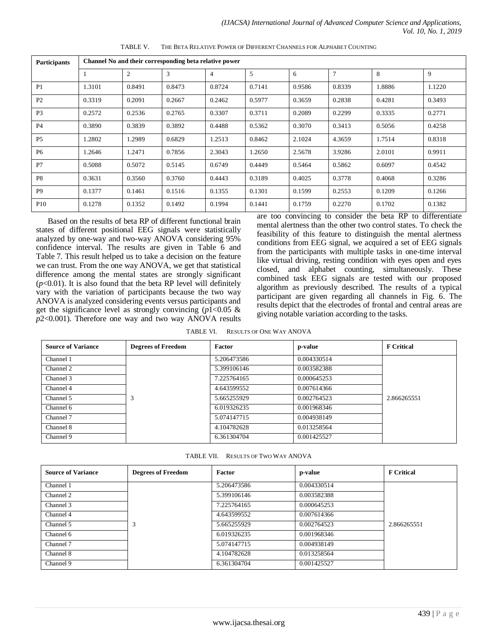| Participants    | Channel No and their corresponding beta relative power |                |        |        |        |        |                |        |        |  |
|-----------------|--------------------------------------------------------|----------------|--------|--------|--------|--------|----------------|--------|--------|--|
|                 |                                                        | $\overline{2}$ | 3      | 4      | 5      | 6      | $\overline{7}$ | 8      | 9      |  |
| P1              | 1.3101                                                 | 0.8491         | 0.8473 | 0.8724 | 0.7141 | 0.9586 | 0.8339         | 1.8886 | 1.1220 |  |
| P2              | 0.3319                                                 | 0.2091         | 0.2667 | 0.2462 | 0.5977 | 0.3659 | 0.2838         | 0.4281 | 0.3493 |  |
| P <sub>3</sub>  | 0.2572                                                 | 0.2536         | 0.2765 | 0.3307 | 0.3711 | 0.2089 | 0.2299         | 0.3335 | 0.2771 |  |
| <b>P4</b>       | 0.3890                                                 | 0.3839         | 0.3892 | 0.4488 | 0.5362 | 0.3070 | 0.3413         | 0.5056 | 0.4258 |  |
| P <sub>5</sub>  | 1.2802                                                 | 1.2989         | 0.6829 | 1.2513 | 0.8462 | 2.1024 | 4.3659         | 1.7514 | 0.8318 |  |
| <b>P6</b>       | 1.2646                                                 | 1.2471         | 0.7856 | 2.3043 | 1.2650 | 2.5678 | 3.9286         | 2.0101 | 0.9911 |  |
| P7              | 0.5088                                                 | 0.5072         | 0.5145 | 0.6749 | 0.4449 | 0.5464 | 0.5862         | 0.6097 | 0.4542 |  |
| P <sub>8</sub>  | 0.3631                                                 | 0.3560         | 0.3760 | 0.4443 | 0.3189 | 0.4025 | 0.3778         | 0.4068 | 0.3286 |  |
| P <sub>9</sub>  | 0.1377                                                 | 0.1461         | 0.1516 | 0.1355 | 0.1301 | 0.1599 | 0.2553         | 0.1209 | 0.1266 |  |
| P <sub>10</sub> | 0.1278                                                 | 0.1352         | 0.1492 | 0.1994 | 0.1441 | 0.1759 | 0.2270         | 0.1702 | 0.1382 |  |

TABLE V. THE BETA RELATIVE POWER OF DIFFERENT CHANNELS FOR ALPHABET COUNTING

Based on the results of beta RP of different functional brain states of different positional EEG signals were statistically analyzed by one-way and two-way ANOVA considering 95% confidence interval. The results are given in Table 6 and Table 7. This result helped us to take a decision on the feature we can trust. From the one way ANOVA, we get that statistical difference among the mental states are strongly significant  $(p<0.01)$ . It is also found that the beta RP level will definitely vary with the variation of participants because the two way ANOVA is analyzed considering events versus participants and get the significance level as strongly convincing  $(p1<0.05 \&$ *p*2<0.001). Therefore one way and two way ANOVA results are too convincing to consider the beta RP to differentiate mental alertness than the other two control states. To check the feasibility of this feature to distinguish the mental alertness conditions from EEG signal, we acquired a set of EEG signals from the participants with multiple tasks in one-time interval like virtual driving, resting condition with eyes open and eyes closed, and alphabet counting, simultaneously. These combined task EEG signals are tested with our proposed algorithm as previously described. The results of a typical participant are given regarding all channels in Fig. 6. The results depict that the electrodes of frontal and central areas are giving notable variation according to the tasks.

TABLE VI. RESULTS OF ONE WAY ANOVA

| <b>Source of Variance</b> | <b>Degrees of Freedom</b> | <b>Factor</b> | p-value     | <b>F</b> Critical |
|---------------------------|---------------------------|---------------|-------------|-------------------|
| Channel 1                 |                           | 5.206473586   | 0.004330514 |                   |
| Channel 2                 |                           | 5.399106146   | 0.003582388 |                   |
| Channel 3                 |                           | 7.225764165   | 0.000645253 |                   |
| Channel 4                 |                           | 4.643599552   | 0.007614366 |                   |
| Channel 5                 | 3                         | 5.665255929   | 0.002764523 | 2.866265551       |
| Channel 6                 |                           | 6.019326235   | 0.001968346 |                   |
| Channel 7                 |                           | 5.074147715   | 0.004938149 |                   |
| Channel 8                 |                           | 4.104782628   | 0.013258564 |                   |
| Channel 9                 |                           | 6.361304704   | 0.001425527 |                   |

TABLE VII. RESULTS OF TWO WAY ANOVA

| <b>Source of Variance</b> | <b>Degrees of Freedom</b> | Factor      | p-value     | <b>F</b> Critical |
|---------------------------|---------------------------|-------------|-------------|-------------------|
| Channel 1                 |                           | 5.206473586 | 0.004330514 |                   |
| Channel 2                 |                           | 5.399106146 | 0.003582388 |                   |
| Channel 3                 |                           | 7.225764165 | 0.000645253 |                   |
| Channel 4                 |                           | 4.643599552 | 0.007614366 |                   |
| Channel 5                 | 3                         | 5.665255929 | 0.002764523 | 2.866265551       |
| Channel 6                 |                           | 6.019326235 | 0.001968346 |                   |
| Channel 7                 |                           | 5.074147715 | 0.004938149 |                   |
| Channel 8                 |                           | 4.104782628 | 0.013258564 |                   |
| Channel 9                 |                           | 6.361304704 | 0.001425527 |                   |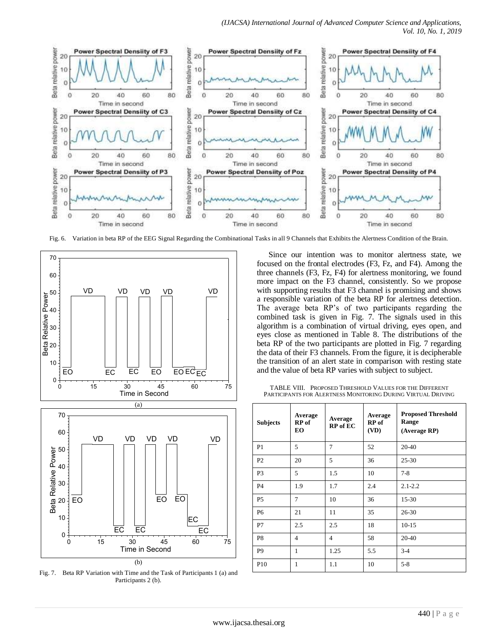

Fig. 6. Variation in beta RP of the EEG Signal Regarding the Combinational Tasks in all 9 Channels that Exhibits the Alertness Condition of the Brain.



Fig. 7. Beta RP Variation with Time and the Task of Participants 1 (a) and Participants 2 (b).

Since our intention was to monitor alertness state, we focused on the frontal electrodes (F3, Fz, and F4). Among the three channels (F3, Fz, F4) for alertness monitoring, we found more impact on the F3 channel, consistently. So we propose with supporting results that F3 channel is promising and shows a responsible variation of the beta RP for alertness detection. The average beta RP"s of two participants regarding the combined task is given in Fig. 7. The signals used in this algorithm is a combination of virtual driving, eyes open, and eyes close as mentioned in Table 8. The distributions of the beta RP of the two participants are plotted in Fig. 7 regarding the data of their F3 channels. From the figure, it is decipherable the transition of an alert state in comparison with resting state and the value of beta RP varies with subject to subject.

TABLE VIII. PROPOSED THRESHOLD VALUES FOR THE DIFFERENT PARTICIPANTS FOR ALERTNESS MONITORING DURING VIRTUAL DRIVING

| <b>Subjects</b> | Average<br>RP of<br>EO | Average<br><b>RP</b> of EC | Average<br>RP of<br>(VD) | <b>Proposed Threshold</b><br>Range<br>(Average RP) |
|-----------------|------------------------|----------------------------|--------------------------|----------------------------------------------------|
| P <sub>1</sub>  | 5                      | 7                          | 52                       | $20-40$                                            |
| P <sub>2</sub>  | 20                     | 5                          | 36                       | $25 - 30$                                          |
| P <sub>3</sub>  | 5                      | 1.5                        | 10                       | $7 - 8$                                            |
| P <sub>4</sub>  | 1.9                    | 1.7                        | 2.4                      | $2.1 - 2.2$                                        |
| P <sub>5</sub>  | 7                      | 10                         | 36                       | 15-30                                              |
| P <sub>6</sub>  | 21                     | 11                         | 35                       | $26 - 30$                                          |
| P7              | 2.5                    | 2.5                        | 18                       | $10-15$                                            |
| P8              | $\overline{4}$         | $\overline{4}$             | 58                       | 20-40                                              |
| P9              | 1                      | 1.25                       | 5.5                      | $3-4$                                              |
| P <sub>10</sub> | 1                      | 1.1                        | 10                       | $5 - 8$                                            |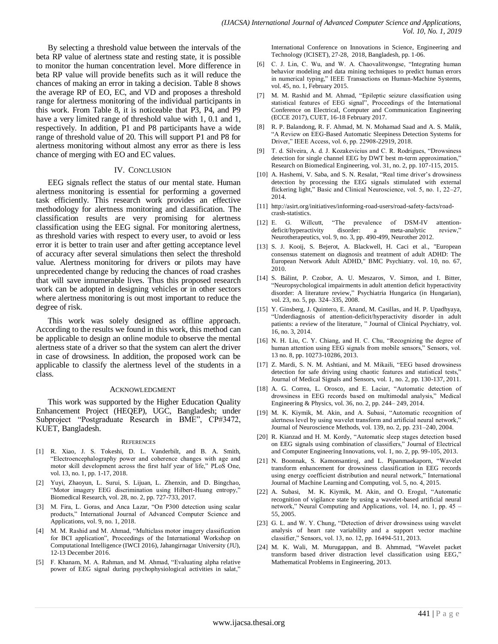By selecting a threshold value between the intervals of the beta RP value of alertness state and resting state, it is possible to monitor the human concentration level. More difference in beta RP value will provide benefits such as it will reduce the chances of making an error in taking a decision. Table 8 shows the average RP of EO, EC, and VD and proposes a threshold range for alertness monitoring of the individual participants in this work. From Table 8, it is noticeable that P3, P4, and P9 have a very limited range of threshold value with 1, 0.1 and 1, respectively. In addition, P1 and P8 participants have a wide range of threshold value of 20. This will support P1 and P8 for alertness monitoring without almost any error as there is less chance of merging with EO and EC values.

#### IV. CONCLUSION

EEG signals reflect the status of our mental state. Human alertness monitoring is essential for performing a governed task efficiently. This research work provides an effective methodology for alertness monitoring and classification. The classification results are very promising for alertness classification using the EEG signal. For monitoring alertness, as threshold varies with respect to every user, to avoid or less error it is better to train user and after getting acceptance level of accuracy after several simulations then select the threshold value. Alertness monitoring for drivers or pilots may have unprecedented change by reducing the chances of road crashes that will save innumerable lives. Thus this proposed research work can be adopted in designing vehicles or in other sectors where alertness monitoring is out most important to reduce the degree of risk.

This work was solely designed as offline approach. According to the results we found in this work, this method can be applicable to design an online module to observe the mental alertness state of a driver so that the system can alert the driver in case of drowsiness. In addition, the proposed work can be applicable to classify the alertness level of the students in a class.

#### ACKNOWLEDGMENT

This work was supported by the Higher Education Quality Enhancement Project (HEQEP), UGC, Bangladesh; under Subproject "Postgraduate Research in BME", CP#3472, KUET, Bangladesh.

#### **REFERENCES**

- [1] R. Xiao, J. S. Tokeshi, D. L. Vanderbilt, and B. A. Smith, "Electroencephalography power and coherence changes with age and motor skill development across the first half year of life," PLoS One, vol. 13, no. 1, pp. 1-17, 2018.
- [2] Yuyi, Zhaoyun, L. Surui, S. Lijuan, L. Zhenxin, and D. Bingchao, "Motor imagery EEG discrimination using Hilbert-Huang entropy," Biomedical Research, vol. 28, no. 2, pp. 727-733, 2017.
- [3] M. Fira, L. Goras, and Anca Lazar, "On P300 detection using scalar products," International Journal of Advanced Computer Science and Applications, vol. 9, no. 1, 2018.
- [4] M. M. Rashid and M. Ahmad, "Multiclass motor imagery classification for BCI application", Proceedings of the International Workshop on Computational Intelligence (IWCI 2016), Jahangirnagar University (JU), 12-13 December 2016.
- [5] F. Khanam, M. A. Rahman, and M. Ahmad, "Evaluating alpha relative power of EEG signal during psychophysiological activities in salat,"

International Conference on Innovations in Science, Engineering and Technology (ICISET), 27-28, 2018, Bangladesh, pp. 1-06.

- [6] C. J. Lin, C. Wu, and W. A. Chaovalitwongse, "Integrating human behavior modeling and data mining techniques to predict human errors in numerical typing," IEEE Transactions on Human-Machine Systems, vol. 45, no. 1, February 2015.
- [7] M. M. Rashid and M. Ahmad, "Epileptic seizure classification using statistical features of EEG signal", Proceedings of the International Conference on Electrical, Computer and Communication Engineering (ECCE 2017), CUET, 16-18 February 2017.
- [8] R. P. Balandong, R. F. Ahmad, M. N. Mohamad Saad and A. S. Malik, "A Review on EEG-Based Automatic Sleepiness Detection Systems for Driver," IEEE Access, vol. 6, pp. 22908-22919, 2018.
- [9] T. d. Silveira, A. d. J. Kozakevicius and C. R. Rodrigues, "Drowsiness detection for single channel EEG by DWT best m-term approximation," Research on Biomedical Engineering, vol. 31, no. 2, pp. 107-115, 2015.
- [10] A. Hashemi, V. Saba, and S. N. Resalat, "Real time driver's drowsiness detection by processing the EEG signals stimulated with external flickering light," Basic and Clinical Neuroscience, vol. 5, no. 1, 22–27, 2014.
- [11] http://asirt.org/initiatives/informing-road-users/road-safety-facts/roadcrash-statistics.
- [12] E. G. Willcutt, "The prevalence of DSM-IV attentiondeficit/hyperactivity disorder: a meta-analytic review," Neurotherapeutics, vol. 9, no. 3, pp. 490-499, Neurother 2012.
- [13] S. J. Kooij, S. Bejerot, A. Blackwell, H. Caci et al., "European consensus statement on diagnosis and treatment of adult ADHD: The European Network Adult ADHD," BMC Psychiatry. vol. 10, no. 67, 2010.
- [14] S. Bálint, P. Czobor, A. U. Meszaros, V. Simon, and I. Bitter, "Neuropsychological impairments in adult attention deficit hyperactivity disorder: A literature review," Psychiatria Hungarica (in Hungarian), vol. 23, no. 5, pp. 324–335, 2008.
- [15] Y. Ginsberg, J. Quintero, E. Anand, M. Casillas, and H. P. Upadhyaya, "Underdiagnosis of attention-deficit/hyperactivity disorder in adult patients: a review of the literature, " Journal of Clinical Psychiatry, vol. 16, no. 3, 2014.
- [16] N. H. Liu, C. Y. Chiang, and H. C. Chu, "Recognizing the degree of human attention using EEG signals from mobile sensors," Sensors, vol. 13 no. 8, pp. 10273-10286, 2013.
- [17] Z. Mardi, S. N. M. Ashtiani, and M. Mikaili, "EEG based drowsiness detection for safe driving using chaotic features and statistical tests," Journal of Medical Signals and Sensors, vol. 1, no. 2, pp. 130-137, 2011.
- [18] A. G. Correa, L. Orosco, and E. Laciar, "Automatic detection of drowsiness in EEG records based on multimodal analysis," Medical Engineering & Physics, vol. 36, no. 2, pp. 244– 249, 2014.
- [19] M. K. Kiymik, M. Akin, and A. Subasi, "Automatic recognition of alertness level by using wavelet transform and artificial neural network," Journal of Neuroscience Methods, vol. 139, no. 2, pp. 231–240, 2004.
- [20] R. Kianzad and H. M. Kordy, "Automatic sleep stages detection based on EEG signals using combination of classifiers," Journal of Electrical and Computer Engineering Innovations, vol. 1, no. 2, pp. 99-105, 2013.
- [21] N. Boonnak, S. Kamonsantiroj, and L. Pipanmaekaporn, "Wavelet transform enhancement for drowsiness classification in EEG records using energy coefficient distribution and neural network," International Journal of Machine Learning and Computing, vol. 5, no. 4, 2015.
- [22] A. Subasi, M. K. Kiymik, M. Akin, and O. Erogul, "Automatic recognition of vigilance state by using a wavelet-based artificial neural network," Neural Computing and Applications, vol. 14, no. 1, pp. 45 – 55, 2005.
- [23] G. L. and W. Y. Chung, "Detection of driver drowsiness using wavelet analysis of heart rate variability and a support vector machine classifier," Sensors, vol. 13, no. 12, pp. 16494-511, 2013.
- [24] M. K. Wali, M. Murugappan, and B. Ahmmad, "Wavelet packet transform based driver distraction level classification using EEG," Mathematical Problems in Engineering, 2013.